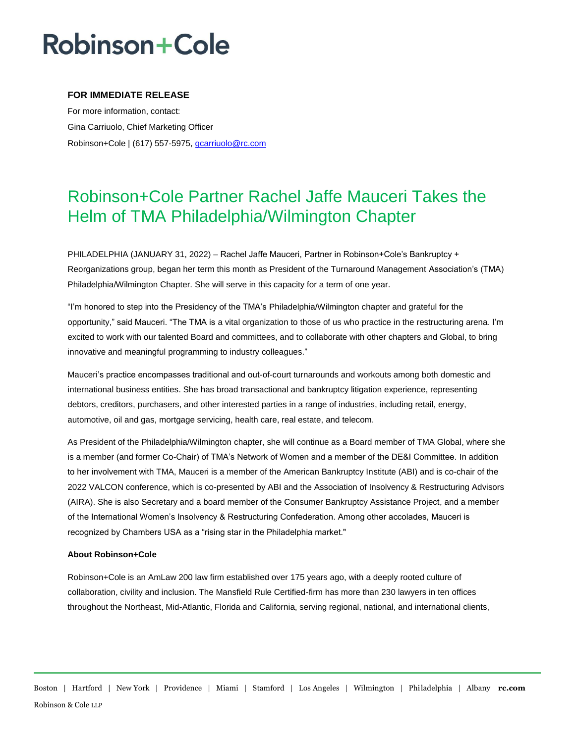# **Robinson+Cole**

### **FOR IMMEDIATE RELEASE**

For more information, contact: Gina Carriuolo, Chief Marketing Officer Robinson+Cole | (617) 557-5975, gcarriuolo@rc.com

### Robinson+Cole Partner Rachel Jaffe Mauceri Takes the Helm of TMA Philadelphia/Wilmington Chapter

PHILADELPHIA (JANUARY 31, 2022) – Rachel Jaffe Mauceri, Partner in Robinson+Cole's Bankruptcy + Reorganizations group, began her term this month as President of the Turnaround Management Association's (TMA) Philadelphia/Wilmington Chapter. She will serve in this capacity for a term of one year.

"I'm honored to step into the Presidency of the TMA's Philadelphia/Wilmington chapter and grateful for the opportunity," said Mauceri. "The TMA is a vital organization to those of us who practice in the restructuring arena. I'm excited to work with our talented Board and committees, and to collaborate with other chapters and Global, to bring innovative and meaningful programming to industry colleagues."

Mauceri's practice encompasses traditional and out-of-court turnarounds and workouts among both domestic and international business entities. She has broad transactional and bankruptcy litigation experience, representing debtors, creditors, purchasers, and other interested parties in a range of industries, including retail, energy, automotive, oil and gas, mortgage servicing, health care, real estate, and telecom.

As President of the Philadelphia/Wilmington chapter, she will continue as a Board member of TMA Global, where she is a member (and former Co-Chair) of TMA's Network of Women and a member of the DE&I Committee. In addition to her involvement with TMA, Mauceri is a member of the American Bankruptcy Institute (ABI) and is co-chair of the 2022 VALCON conference, which is co-presented by ABI and the Association of Insolvency & Restructuring Advisors (AIRA). She is also Secretary and a board member of the Consumer Bankruptcy Assistance Project, and a member of the International Women's Insolvency & Restructuring Confederation. Among other accolades, Mauceri is recognized by Chambers USA as a "rising star in the Philadelphia market."

#### **About Robinson+Cole**

Robinson+Cole is an AmLaw 200 law firm established over 175 years ago, with a deeply rooted culture of collaboration, civility and inclusion. The Mansfield Rule Certified-firm has more than 230 lawyers in ten offices throughout the Northeast, Mid-Atlantic, Florida and California, serving regional, national, and international clients,